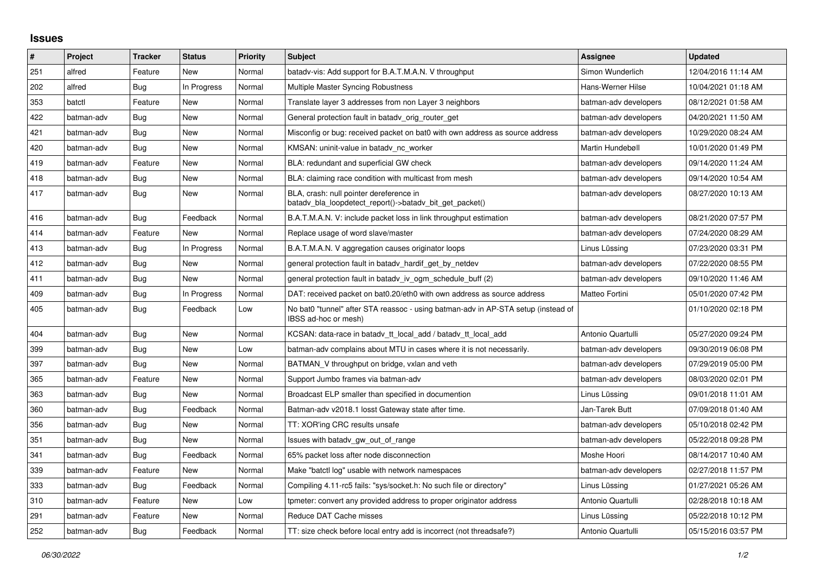## **Issues**

| $\vert$ # | Project    | <b>Tracker</b> | <b>Status</b> | <b>Priority</b> | <b>Subject</b>                                                                                            | <b>Assignee</b>       | <b>Updated</b>      |
|-----------|------------|----------------|---------------|-----------------|-----------------------------------------------------------------------------------------------------------|-----------------------|---------------------|
| 251       | alfred     | Feature        | <b>New</b>    | Normal          | batady-vis: Add support for B.A.T.M.A.N. V throughput                                                     | Simon Wunderlich      | 12/04/2016 11:14 AM |
| 202       | alfred     | <b>Bug</b>     | In Progress   | Normal          | Multiple Master Syncing Robustness                                                                        | Hans-Werner Hilse     | 10/04/2021 01:18 AM |
| 353       | batctl     | Feature        | New           | Normal          | Translate layer 3 addresses from non Layer 3 neighbors                                                    | batman-adv developers | 08/12/2021 01:58 AM |
| 422       | batman-adv | <b>Bug</b>     | <b>New</b>    | Normal          | General protection fault in batady orig router get                                                        | batman-adv developers | 04/20/2021 11:50 AM |
| 421       | batman-adv | <b>Bug</b>     | <b>New</b>    | Normal          | Misconfig or bug: received packet on bat0 with own address as source address                              | batman-adv developers | 10/29/2020 08:24 AM |
| 420       | batman-adv | Bug            | New           | Normal          | KMSAN: uninit-value in batady nc worker                                                                   | Martin Hundebøll      | 10/01/2020 01:49 PM |
| 419       | batman-adv | Feature        | New           | Normal          | BLA: redundant and superficial GW check                                                                   | batman-adv developers | 09/14/2020 11:24 AM |
| 418       | batman-adv | Bug            | <b>New</b>    | Normal          | BLA: claiming race condition with multicast from mesh                                                     | batman-adv developers | 09/14/2020 10:54 AM |
| 417       | batman-adv | Bug            | New           | Normal          | BLA, crash: null pointer dereference in<br>batady_bla_loopdetect_report()->batady_bit_get_packet()        | batman-adv developers | 08/27/2020 10:13 AM |
| 416       | batman-adv | Bug            | Feedback      | Normal          | B.A.T.M.A.N. V: include packet loss in link throughput estimation                                         | batman-adv developers | 08/21/2020 07:57 PM |
| 414       | batman-adv | Feature        | <b>New</b>    | Normal          | Replace usage of word slave/master                                                                        | batman-adv developers | 07/24/2020 08:29 AM |
| 413       | batman-adv | Bug            | In Progress   | Normal          | B.A.T.M.A.N. V aggregation causes originator loops                                                        | Linus Lüssing         | 07/23/2020 03:31 PM |
| 412       | batman-adv | <b>Bug</b>     | <b>New</b>    | Normal          | general protection fault in batady hardif get by netdev                                                   | batman-adv developers | 07/22/2020 08:55 PM |
| 411       | batman-adv | Bug            | New           | Normal          | general protection fault in batady iv ogm schedule buff (2)                                               | batman-adv developers | 09/10/2020 11:46 AM |
| 409       | batman-adv | <b>Bug</b>     | In Progress   | Normal          | DAT: received packet on bat0.20/eth0 with own address as source address                                   | Matteo Fortini        | 05/01/2020 07:42 PM |
| 405       | batman-adv | Bug            | Feedback      | Low             | No bat0 "tunnel" after STA reassoc - using batman-adv in AP-STA setup (instead of<br>IBSS ad-hoc or mesh) |                       | 01/10/2020 02:18 PM |
| 404       | batman-adv | Bug            | New           | Normal          | KCSAN: data-race in batady tt local add / batady tt local add                                             | Antonio Quartulli     | 05/27/2020 09:24 PM |
| 399       | batman-adv | Bug            | <b>New</b>    | Low             | batman-adv complains about MTU in cases where it is not necessarily.                                      | batman-adv developers | 09/30/2019 06:08 PM |
| 397       | batman-adv | Bug            | New           | Normal          | BATMAN V throughput on bridge, vxlan and veth                                                             | batman-adv developers | 07/29/2019 05:00 PM |
| 365       | batman-adv | Feature        | New           | Normal          | Support Jumbo frames via batman-adv                                                                       | batman-adv developers | 08/03/2020 02:01 PM |
| 363       | batman-adv | Bug            | <b>New</b>    | Normal          | Broadcast ELP smaller than specified in documention                                                       | Linus Lüssing         | 09/01/2018 11:01 AM |
| 360       | batman-adv | Bug            | Feedback      | Normal          | Batman-adv v2018.1 losst Gateway state after time.                                                        | Jan-Tarek Butt        | 07/09/2018 01:40 AM |
| 356       | batman-adv | Bug            | <b>New</b>    | Normal          | TT: XOR'ing CRC results unsafe                                                                            | batman-adv developers | 05/10/2018 02:42 PM |
| 351       | batman-adv | Bug            | New           | Normal          | Issues with batady gw out of range                                                                        | batman-adv developers | 05/22/2018 09:28 PM |
| 341       | batman-adv | Bug            | Feedback      | Normal          | 65% packet loss after node disconnection                                                                  | Moshe Hoori           | 08/14/2017 10:40 AM |
| 339       | batman-adv | Feature        | <b>New</b>    | Normal          | Make "batctl log" usable with network namespaces                                                          | batman-adv developers | 02/27/2018 11:57 PM |
| 333       | batman-adv | Bug            | Feedback      | Normal          | Compiling 4.11-rc5 fails: "sys/socket.h: No such file or directory"                                       | Linus Lüssing         | 01/27/2021 05:26 AM |
| 310       | batman-adv | Feature        | <b>New</b>    | Low             | tpmeter: convert any provided address to proper originator address                                        | Antonio Quartulli     | 02/28/2018 10:18 AM |
| 291       | batman-adv | Feature        | <b>New</b>    | Normal          | Reduce DAT Cache misses                                                                                   | Linus Lüssing         | 05/22/2018 10:12 PM |
| 252       | batman-adv | Bug            | Feedback      | Normal          | TT: size check before local entry add is incorrect (not threadsafe?)                                      | Antonio Quartulli     | 05/15/2016 03:57 PM |